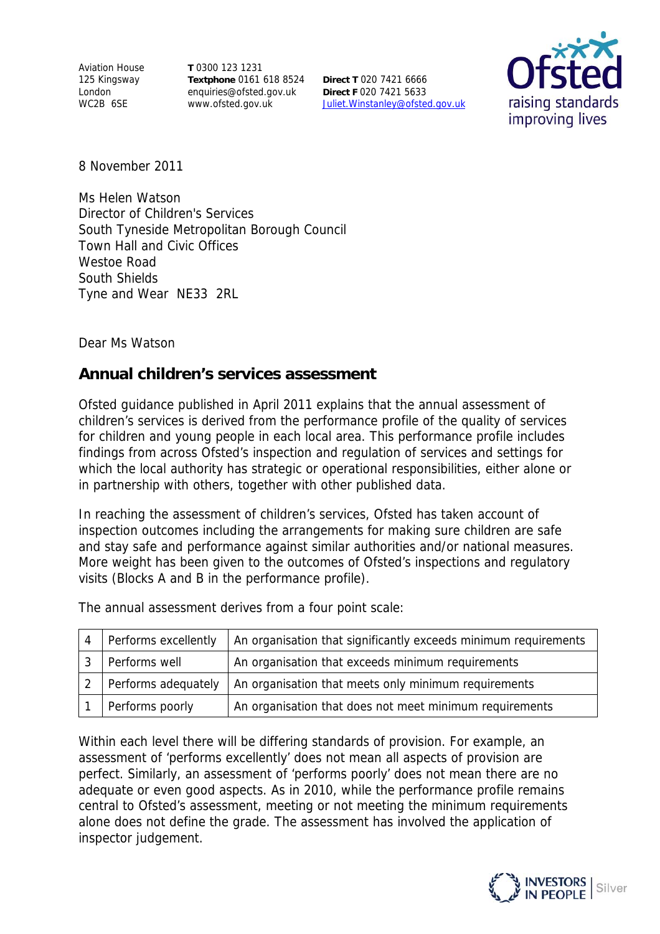Aviation House 125 Kingsway London WC2B 6SE

**T** 0300 123 1231 **Textphone** 0161 618 8524 enquiries@ofsted.gov.uk www.ofsted.gov.uk

**Direct T** 020 7421 6666 **Direct F** 020 7421 5633 Juliet.Winstanley@ofsted.gov.uk



8 November 2011

Ms Helen Watson Director of Children's Services South Tyneside Metropolitan Borough Council Town Hall and Civic Offices Westoe Road South Shields Tyne and Wear NE33 2RL

Dear Ms Watson

## **Annual children's services assessment**

Ofsted guidance published in April 2011 explains that the annual assessment of children's services is derived from the performance profile of the quality of services for children and young people in each local area. This performance profile includes findings from across Ofsted's inspection and regulation of services and settings for which the local authority has strategic or operational responsibilities, either alone or in partnership with others, together with other published data.

In reaching the assessment of children's services, Ofsted has taken account of inspection outcomes including the arrangements for making sure children are safe and stay safe and performance against similar authorities and/or national measures. More weight has been given to the outcomes of Ofsted's inspections and regulatory visits (Blocks A and B in the performance profile).

| Performs excellently | An organisation that significantly exceeds minimum requirements |
|----------------------|-----------------------------------------------------------------|
| Performs well        | An organisation that exceeds minimum requirements               |
| Performs adequately  | An organisation that meets only minimum requirements            |
| Performs poorly      | An organisation that does not meet minimum requirements         |

The annual assessment derives from a four point scale:

Within each level there will be differing standards of provision. For example, an assessment of 'performs excellently' does not mean all aspects of provision are perfect. Similarly, an assessment of 'performs poorly' does not mean there are no adequate or even good aspects. As in 2010, while the performance profile remains central to Ofsted's assessment, meeting or not meeting the minimum requirements alone does not define the grade. The assessment has involved the application of inspector judgement.

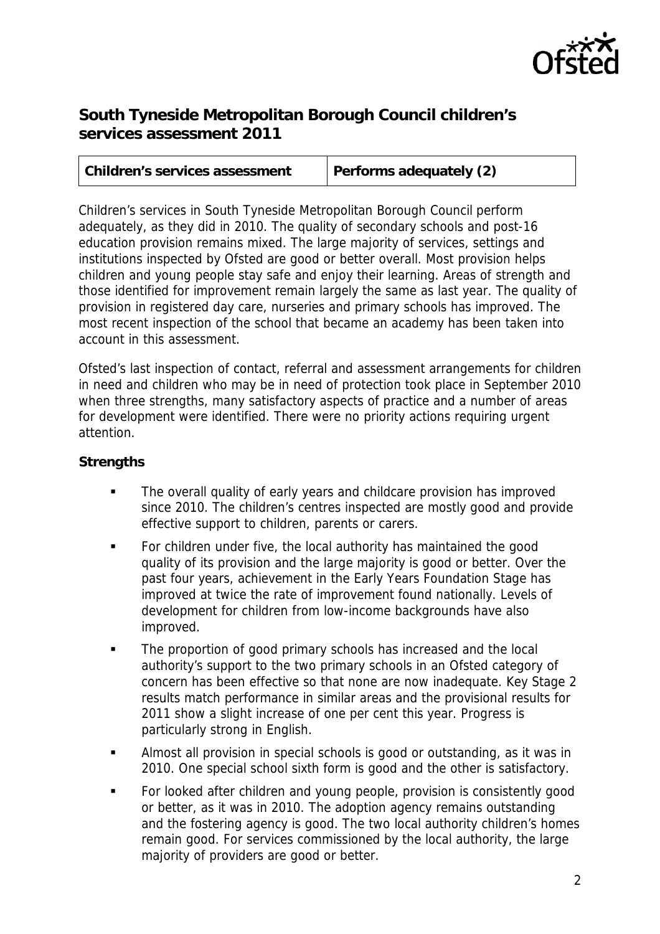

## **South Tyneside Metropolitan Borough Council children's services assessment 2011**

| <b>Children's services assessment</b> | Performs adequately (2) |
|---------------------------------------|-------------------------|
|                                       |                         |

Children's services in South Tyneside Metropolitan Borough Council perform adequately, as they did in 2010. The quality of secondary schools and post-16 education provision remains mixed. The large majority of services, settings and institutions inspected by Ofsted are good or better overall. Most provision helps children and young people stay safe and enjoy their learning. Areas of strength and those identified for improvement remain largely the same as last year. The quality of provision in registered day care, nurseries and primary schools has improved. The most recent inspection of the school that became an academy has been taken into account in this assessment.

Ofsted's last inspection of contact, referral and assessment arrangements for children in need and children who may be in need of protection took place in September 2010 when three strengths, many satisfactory aspects of practice and a number of areas for development were identified. There were no priority actions requiring urgent attention.

## **Strengths**

- **The overall quality of early years and childcare provision has improved** since 2010. The children's centres inspected are mostly good and provide effective support to children, parents or carers.
- For children under five, the local authority has maintained the good quality of its provision and the large majority is good or better. Over the past four years, achievement in the Early Years Foundation Stage has improved at twice the rate of improvement found nationally. Levels of development for children from low-income backgrounds have also improved.
- The proportion of good primary schools has increased and the local authority's support to the two primary schools in an Ofsted category of concern has been effective so that none are now inadequate. Key Stage 2 results match performance in similar areas and the provisional results for 2011 show a slight increase of one per cent this year. Progress is particularly strong in English.
- Almost all provision in special schools is good or outstanding, as it was in 2010. One special school sixth form is good and the other is satisfactory.
- For looked after children and young people, provision is consistently good or better, as it was in 2010. The adoption agency remains outstanding and the fostering agency is good. The two local authority children's homes remain good. For services commissioned by the local authority, the large majority of providers are good or better.